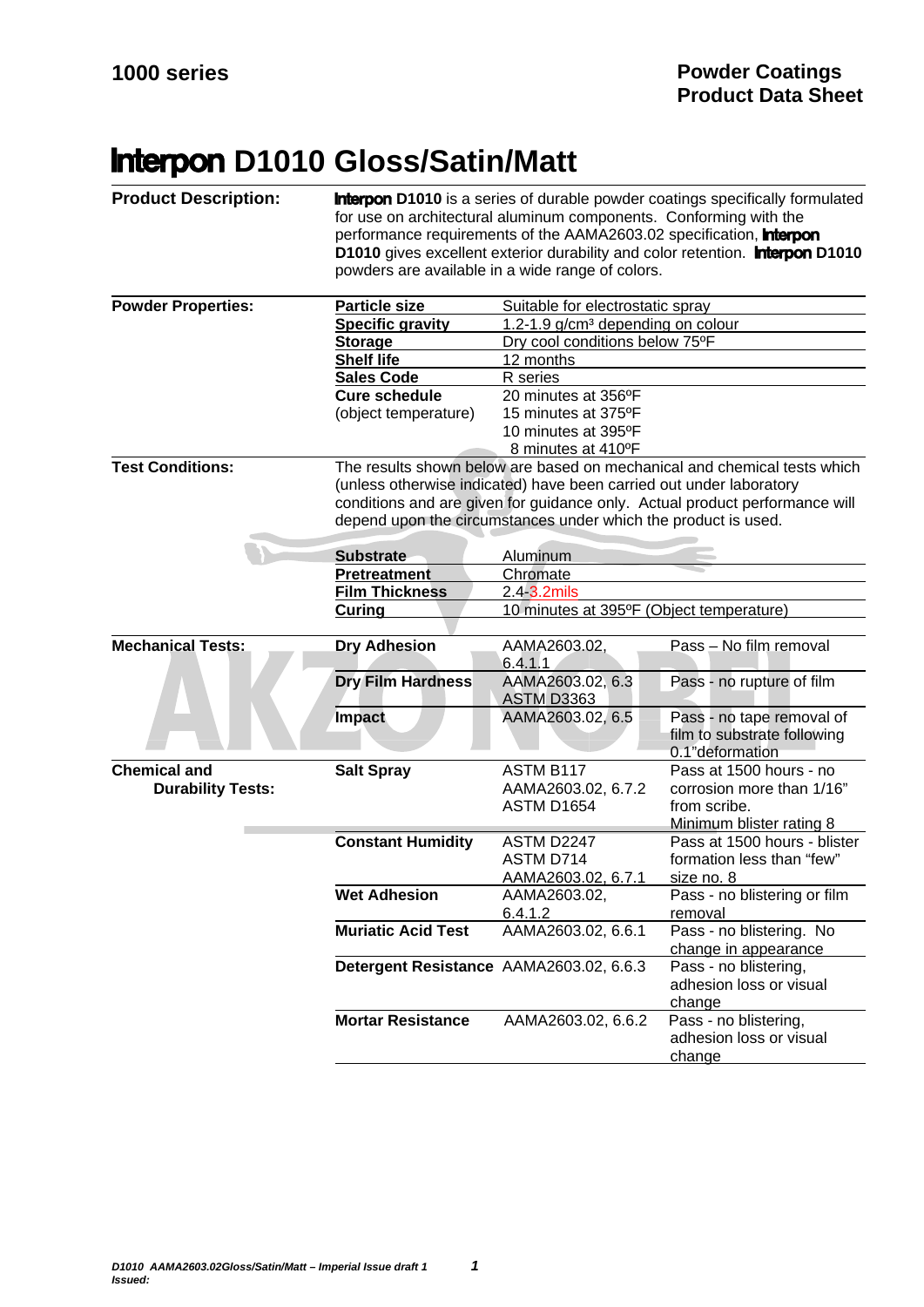## **Interpon D1010 Gloss/Satin/Matt**

| <b>Product Description:</b> | <b>Interpon D1010</b> is a series of durable powder coatings specifically formulated<br>for use on architectural aluminum components. Conforming with the<br>performance requirements of the AAMA2603.02 specification, <b>Interpon</b><br>D1010 gives excellent exterior durability and color retention. <b>Interpon D1010</b><br>powders are available in a wide range of colors. |                                               |                                                                             |  |
|-----------------------------|-------------------------------------------------------------------------------------------------------------------------------------------------------------------------------------------------------------------------------------------------------------------------------------------------------------------------------------------------------------------------------------|-----------------------------------------------|-----------------------------------------------------------------------------|--|
| <b>Powder Properties:</b>   | <b>Particle size</b>                                                                                                                                                                                                                                                                                                                                                                | Suitable for electrostatic spray              |                                                                             |  |
|                             | <b>Specific gravity</b>                                                                                                                                                                                                                                                                                                                                                             | 1.2-1.9 g/cm <sup>3</sup> depending on colour |                                                                             |  |
|                             | <b>Storage</b>                                                                                                                                                                                                                                                                                                                                                                      | Dry cool conditions below 75°F                |                                                                             |  |
|                             | <b>Shelf life</b>                                                                                                                                                                                                                                                                                                                                                                   | 12 months                                     |                                                                             |  |
|                             | <b>Sales Code</b>                                                                                                                                                                                                                                                                                                                                                                   | R series                                      |                                                                             |  |
|                             | <b>Cure schedule</b>                                                                                                                                                                                                                                                                                                                                                                | 20 minutes at 356°F                           |                                                                             |  |
|                             | (object temperature)                                                                                                                                                                                                                                                                                                                                                                | 15 minutes at 375°F                           |                                                                             |  |
|                             |                                                                                                                                                                                                                                                                                                                                                                                     | 10 minutes at 395°F                           |                                                                             |  |
|                             |                                                                                                                                                                                                                                                                                                                                                                                     | 8 minutes at 410°F                            |                                                                             |  |
| <b>Test Conditions:</b>     |                                                                                                                                                                                                                                                                                                                                                                                     |                                               | The results shown below are based on mechanical and chemical tests which    |  |
|                             | (unless otherwise indicated) have been carried out under laboratory<br>conditions and are given for guidance only. Actual product performance will<br>depend upon the circumstances under which the product is used.                                                                                                                                                                |                                               |                                                                             |  |
|                             | <b>Substrate</b>                                                                                                                                                                                                                                                                                                                                                                    | Aluminum                                      |                                                                             |  |
|                             | Pretreatment                                                                                                                                                                                                                                                                                                                                                                        | Chromate                                      |                                                                             |  |
|                             | <b>Film Thickness</b>                                                                                                                                                                                                                                                                                                                                                               | 2.4 3.2mils                                   |                                                                             |  |
|                             | Curing                                                                                                                                                                                                                                                                                                                                                                              | 10 minutes at 395°F (Object temperature)      |                                                                             |  |
|                             |                                                                                                                                                                                                                                                                                                                                                                                     |                                               |                                                                             |  |
| <b>Mechanical Tests:</b>    | <b>Dry Adhesion</b>                                                                                                                                                                                                                                                                                                                                                                 | AAMA2603.02,<br>6.4.1.1                       | Pass - No film removal                                                      |  |
|                             | <b>Dry Film Hardness</b>                                                                                                                                                                                                                                                                                                                                                            | AAMA2603.02, 6.3<br><b>ASTM D3363</b>         | Pass - no rupture of film                                                   |  |
|                             | Impact                                                                                                                                                                                                                                                                                                                                                                              | AAMA2603.02, 6.5                              | Pass - no tape removal of<br>film to substrate following<br>0.1"deformation |  |
| <b>Chemical and</b>         | <b>Salt Spray</b>                                                                                                                                                                                                                                                                                                                                                                   | ASTM B117                                     | Pass at 1500 hours - no                                                     |  |
| <b>Durability Tests:</b>    |                                                                                                                                                                                                                                                                                                                                                                                     | AAMA2603.02, 6.7.2                            | corrosion more than 1/16"                                                   |  |
|                             |                                                                                                                                                                                                                                                                                                                                                                                     | ASTM D1654                                    | from scribe.                                                                |  |
|                             |                                                                                                                                                                                                                                                                                                                                                                                     |                                               | Minimum blister rating 8                                                    |  |
|                             | <b>Constant Humidity</b>                                                                                                                                                                                                                                                                                                                                                            | ASTM D2247                                    | Pass at 1500 hours - blister                                                |  |
|                             |                                                                                                                                                                                                                                                                                                                                                                                     | ASTM D714                                     | formation less than "few"                                                   |  |
|                             |                                                                                                                                                                                                                                                                                                                                                                                     | AAMA2603.02, 6.7.1                            | size no. 8                                                                  |  |
|                             | <b>Wet Adhesion</b>                                                                                                                                                                                                                                                                                                                                                                 | AAMA2603.02,                                  | Pass - no blistering or film                                                |  |
|                             |                                                                                                                                                                                                                                                                                                                                                                                     | 6.4.1.2                                       | removal                                                                     |  |
|                             | <b>Muriatic Acid Test</b>                                                                                                                                                                                                                                                                                                                                                           | AAMA2603.02, 6.6.1                            | Pass - no blistering. No                                                    |  |
|                             |                                                                                                                                                                                                                                                                                                                                                                                     |                                               | change in appearance                                                        |  |
|                             | Detergent Resistance AAMA2603.02, 6.6.3                                                                                                                                                                                                                                                                                                                                             |                                               | Pass - no blistering,<br>adhesion loss or visual<br>change                  |  |
|                             | <b>Mortar Resistance</b>                                                                                                                                                                                                                                                                                                                                                            | AAMA2603.02, 6.6.2                            | Pass - no blistering,<br>adhesion loss or visual<br>change                  |  |